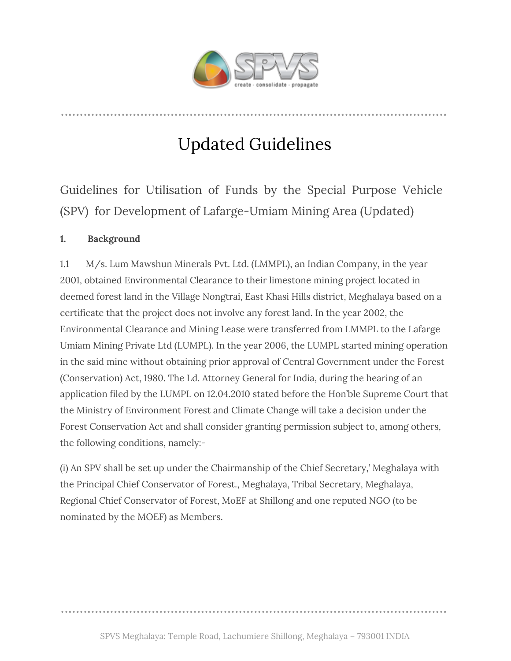

# Updated Guidelines

Guidelines for Utilisation of Funds by the Special Purpose Vehicle (SPV) for Development of Lafarge-Umiam Mining Area (Updated)

# **1. Background**

1.1 M/s. Lum Mawshun Minerals Pvt. Ltd. (LMMPL), an Indian Company, in the year 2001, obtained Environmental Clearance to their limestone mining project located in deemed forest land in the Village Nongtrai, East Khasi Hills district, Meghalaya based on a certificate that the project does not involve any forest land. In the year 2002, the Environmental Clearance and Mining Lease were transferred from LMMPL to the Lafarge Umiam Mining Private Ltd (LUMPL). In the year 2006, the LUMPL started mining operation in the said mine without obtaining prior approval of Central Government under the Forest (Conservation) Act, 1980. The Ld. Attorney General for India, during the hearing of an application filed by the LUMPL on 12.04.2010 stated before the Hon'ble Supreme Court that the Ministry of Environment Forest and Climate Change will take a decision under the Forest Conservation Act and shall consider granting permission subject to, among others, the following conditions, namely:-

(i) An SPV shall be set up under the Chairmanship of the Chief Secretary,' Meghalaya with the Principal Chief Conservator of Forest., Meghalaya, Tribal Secretary, Meghalaya, Regional Chief Conservator of Forest, MoEF at Shillong and one reputed NGO (to be nominated by the MOEF) as Members.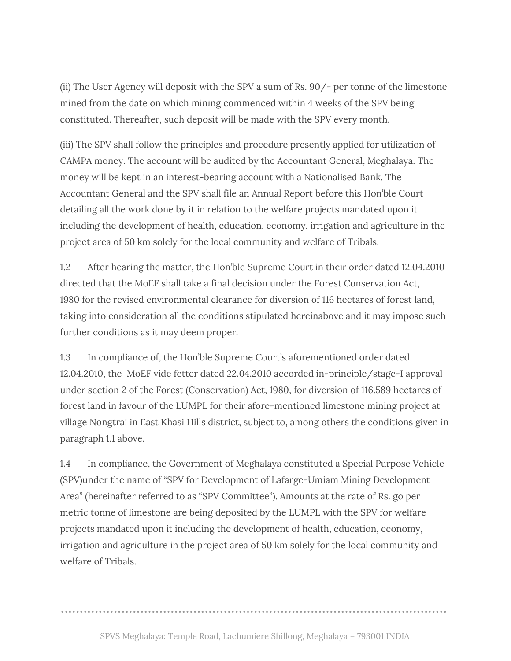(ii) The User Agency will deposit with the SPV a sum of Rs. 90/- per tonne of the limestone mined from the date on which mining commenced within 4 weeks of the SPV being constituted. Thereafter, such deposit will be made with the SPV every month.

(iii) The SPV shall follow the principles and procedure presently applied for utilization of CAMPA money. The account will be audited by the Accountant General, Meghalaya. The money will be kept in an interest-bearing account with a Nationalised Bank. The Accountant General and the SPV shall file an Annual Report before this Hon'ble Court detailing all the work done by it in relation to the welfare projects mandated upon it including the development of health, education, economy, irrigation and agriculture in the project area of 50 km solely for the local community and welfare of Tribals.

1.2 After hearing the matter, the Hon'ble Supreme Court in their order dated 12.04.2010 directed that the MoEF shall take a final decision under the Forest Conservation Act, 1980 for the revised environmental clearance for diversion of 116 hectares of forest land, taking into consideration all the conditions stipulated hereinabove and it may impose such further conditions as it may deem proper.

1.3 In compliance of, the Hon'ble Supreme Court's aforementioned order dated 12.04.2010, the MoEF vide fetter dated 22.04.2010 accorded in-principle/stage-I approval under section 2 of the Forest (Conservation) Act, 1980, for diversion of 116.589 hectares of forest land in favour of the LUMPL for their afore-mentioned limestone mining project at village Nongtrai in East Khasi Hills district, subject to, among others the conditions given in paragraph 1.1 above.

1.4 In compliance, the Government of Meghalaya constituted a Special Purpose Vehicle (SPV)under the name of "SPV for Development of Lafarge-Umiam Mining Development Area" (hereinafter referred to as "SPV Committee"). Amounts at the rate of Rs. go per metric tonne of limestone are being deposited by the LUMPL with the SPV for welfare projects mandated upon it including the development of health, education, economy, irrigation and agriculture in the project area of 50 km solely for the local community and welfare of Tribals.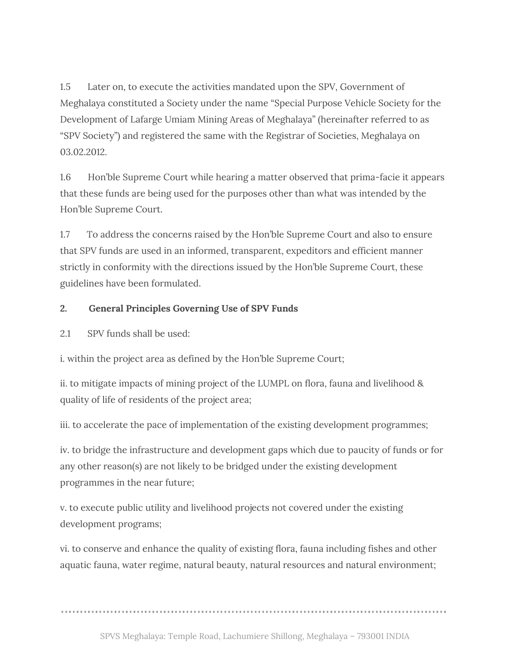1.5 Later on, to execute the activities mandated upon the SPV, Government of Meghalaya constituted a Society under the name "Special Purpose Vehicle Society for the Development of Lafarge Umiam Mining Areas of Meghalaya" (hereinafter referred to as "SPV Society") and registered the same with the Registrar of Societies, Meghalaya on 03.02.2012.

1.6 Hon'ble Supreme Court while hearing a matter observed that prima-facie it appears that these funds are being used for the purposes other than what was intended by the Hon'ble Supreme Court.

1.7 To address the concerns raised by the Hon'ble Supreme Court and also to ensure that SPV funds are used in an informed, transparent, expeditors and efficient manner strictly in conformity with the directions issued by the Hon'ble Supreme Court, these guidelines have been formulated.

## **2. General Principles Governing Use of SPV Funds**

2.1 SPV funds shall be used:

i. within the project area as defined by the Hon'ble Supreme Court;

ii. to mitigate impacts of mining project of the LUMPL on flora, fauna and livelihood & quality of life of residents of the project area;

iii. to accelerate the pace of implementation of the existing development programmes;

iv. to bridge the infrastructure and development gaps which due to paucity of funds or for any other reason(s) are not likely to be bridged under the existing development programmes in the near future;

v. to execute public utility and livelihood projects not covered under the existing development programs;

vi. to conserve and enhance the quality of existing flora, fauna including fishes and other aquatic fauna, water regime, natural beauty, natural resources and natural environment;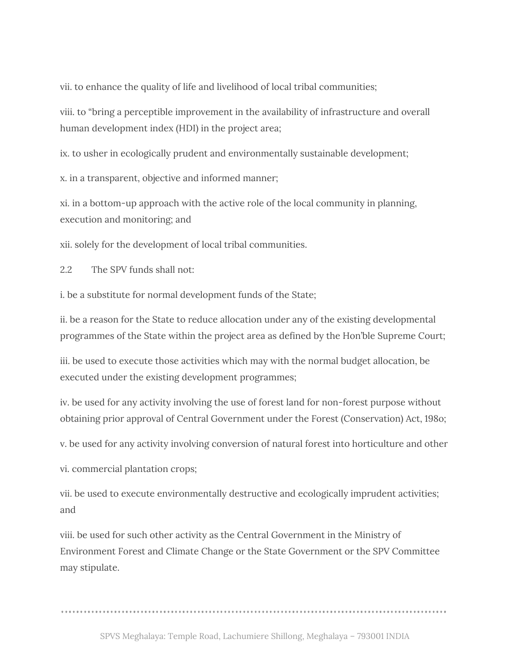vii. to enhance the quality of life and livelihood of local tribal communities;

viii. to "bring a perceptible improvement in the availability of infrastructure and overall human development index (HDI) in the project area;

ix. to usher in ecologically prudent and environmentally sustainable development;

x. in a transparent, objective and informed manner;

xi. in a bottom-up approach with the active role of the local community in planning, execution and monitoring; and

xii. solely for the development of local tribal communities.

2.2 The SPV funds shall not:

i. be a substitute for normal development funds of the State;

ii. be a reason for the State to reduce allocation under any of the existing developmental programmes of the State within the project area as defined by the Hon'ble Supreme Court;

iii. be used to execute those activities which may with the normal budget allocation, be executed under the existing development programmes;

iv. be used for any activity involving the use of forest land for non-forest purpose without obtaining prior approval of Central Government under the Forest (Conservation) Act, 198o;

v. be used for any activity involving conversion of natural forest into horticulture and other

vi. commercial plantation crops;

vii. be used to execute environmentally destructive and ecologically imprudent activities; and

viii. be used for such other activity as the Central Government in the Ministry of Environment Forest and Climate Change or the State Government or the SPV Committee may stipulate.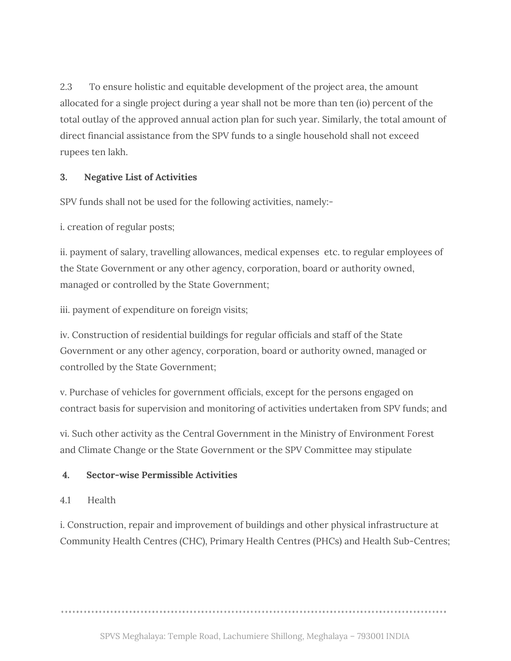2.3 To ensure holistic and equitable development of the project area, the amount allocated for a single project during a year shall not be more than ten (io) percent of the total outlay of the approved annual action plan for such year. Similarly, the total amount of direct financial assistance from the SPV funds to a single household shall not exceed rupees ten lakh.

# **3. Negative List of Activities**

SPV funds shall not be used for the following activities, namely:-

i. creation of regular posts;

ii. payment of salary, travelling allowances, medical expenses etc. to regular employees of the State Government or any other agency, corporation, board or authority owned, managed or controlled by the State Government;

iii. payment of expenditure on foreign visits;

iv. Construction of residential buildings for regular officials and staff of the State Government or any other agency, corporation, board or authority owned, managed or controlled by the State Government;

v. Purchase of vehicles for government officials, except for the persons engaged on contract basis for supervision and monitoring of activities undertaken from SPV funds; and

vi. Such other activity as the Central Government in the Ministry of Environment Forest and Climate Change or the State Government or the SPV Committee may stipulate

## **4. Sector-wise Permissible Activities**

# 4.1 Health

i. Construction, repair and improvement of buildings and other physical infrastructure at Community Health Centres (CHC), Primary Health Centres (PHCs) and Health Sub-Centres;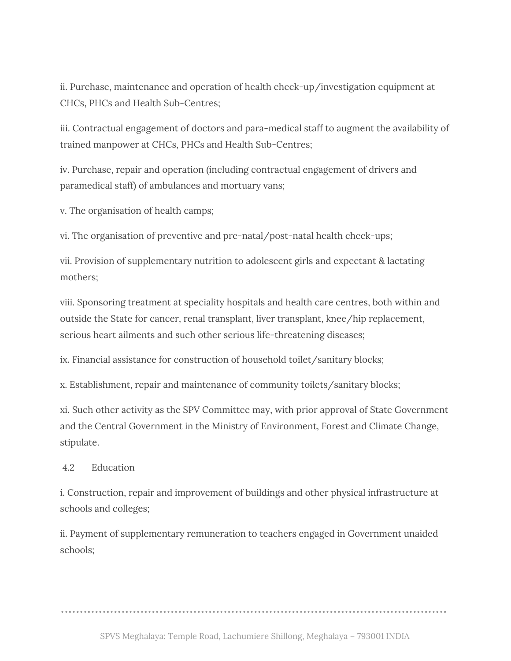ii. Purchase, maintenance and operation of health check-up/investigation equipment at CHCs, PHCs and Health Sub-Centres;

iii. Contractual engagement of doctors and para-medical staff to augment the availability of trained manpower at CHCs, PHCs and Health Sub-Centres;

iv. Purchase, repair and operation (including contractual engagement of drivers and paramedical staff) of ambulances and mortuary vans;

v. The organisation of health camps;

vi. The organisation of preventive and pre-natal/post-natal health check-ups;

vii. Provision of supplementary nutrition to adolescent girls and expectant & lactating mothers;

viii. Sponsoring treatment at speciality hospitals and health care centres, both within and outside the State for cancer, renal transplant, liver transplant, knee/hip replacement, serious heart ailments and such other serious life-threatening diseases;

ix. Financial assistance for construction of household toilet/sanitary blocks;

x. Establishment, repair and maintenance of community toilets/sanitary blocks;

xi. Such other activity as the SPV Committee may, with prior approval of State Government and the Central Government in the Ministry of Environment, Forest and Climate Change, stipulate.

#### 4.2 Education

i. Construction, repair and improvement of buildings and other physical infrastructure at schools and colleges;

ii. Payment of supplementary remuneration to teachers engaged in Government unaided schools;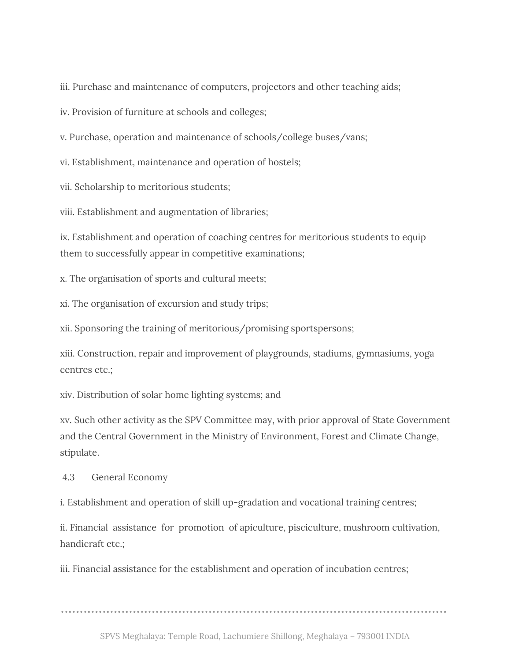iii. Purchase and maintenance of computers, projectors and other teaching aids;

iv. Provision of furniture at schools and colleges;

v. Purchase, operation and maintenance of schools/college buses/vans;

vi. Establishment, maintenance and operation of hostels;

vii. Scholarship to meritorious students;

viii. Establishment and augmentation of libraries;

ix. Establishment and operation of coaching centres for meritorious students to equip them to successfully appear in competitive examinations;

x. The organisation of sports and cultural meets;

xi. The organisation of excursion and study trips;

xii. Sponsoring the training of meritorious/promising sportspersons;

xiii. Construction, repair and improvement of playgrounds, stadiums, gymnasiums, yoga centres etc.;

xiv. Distribution of solar home lighting systems; and

xv. Such other activity as the SPV Committee may, with prior approval of State Government and the Central Government in the Ministry of Environment, Forest and Climate Change, stipulate.

4.3 General Economy

i. Establishment and operation of skill up-gradation and vocational training centres;

ii. Financial assistance for promotion of apiculture, pisciculture, mushroom cultivation, handicraft etc.;

iii. Financial assistance for the establishment and operation of incubation centres;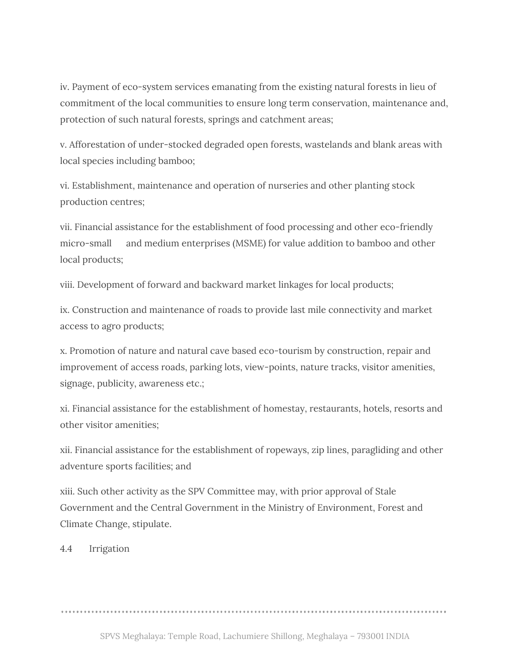iv. Payment of eco-system services emanating from the existing natural forests in lieu of commitment of the local communities to ensure long term conservation, maintenance and, protection of such natural forests, springs and catchment areas;

v. Afforestation of under-stocked degraded open forests, wastelands and blank areas with local species including bamboo;

vi. Establishment, maintenance and operation of nurseries and other planting stock production centres;

vii. Financial assistance for the establishment of food processing and other eco-friendly micro-small and medium enterprises (MSME) for value addition to bamboo and other local products;

viii. Development of forward and backward market linkages for local products;

ix. Construction and maintenance of roads to provide last mile connectivity and market access to agro products;

x. Promotion of nature and natural cave based eco-tourism by construction, repair and improvement of access roads, parking lots, view-points, nature tracks, visitor amenities, signage, publicity, awareness etc.;

xi. Financial assistance for the establishment of homestay, restaurants, hotels, resorts and other visitor amenities;

xii. Financial assistance for the establishment of ropeways, zip lines, paragliding and other adventure sports facilities; and

xiii. Such other activity as the SPV Committee may, with prior approval of Stale Government and the Central Government in the Ministry of Environment, Forest and Climate Change, stipulate.

4.4 Irrigation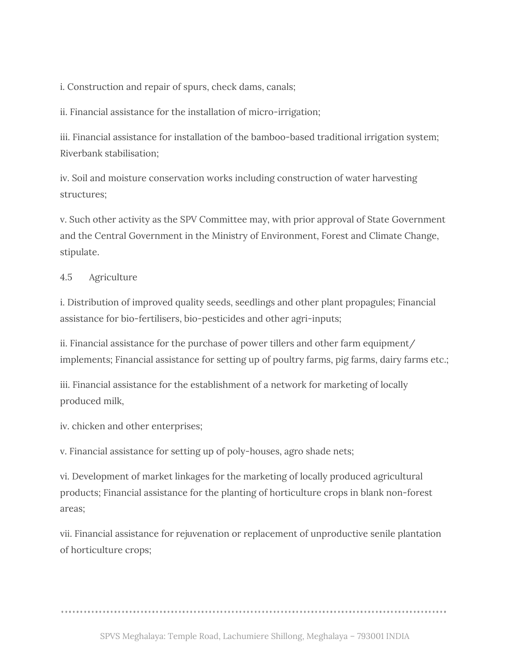i. Construction and repair of spurs, check dams, canals;

ii. Financial assistance for the installation of micro-irrigation;

iii. Financial assistance for installation of the bamboo-based traditional irrigation system; Riverbank stabilisation;

iv. Soil and moisture conservation works including construction of water harvesting structures;

v. Such other activity as the SPV Committee may, with prior approval of State Government and the Central Government in the Ministry of Environment, Forest and Climate Change, stipulate.

#### 4.5 Agriculture

i. Distribution of improved quality seeds, seedlings and other plant propagules; Financial assistance for bio-fertilisers, bio-pesticides and other agri-inputs;

ii. Financial assistance for the purchase of power tillers and other farm equipment/ implements; Financial assistance for setting up of poultry farms, pig farms, dairy farms etc.;

iii. Financial assistance for the establishment of a network for marketing of locally produced milk,

iv. chicken and other enterprises;

v. Financial assistance for setting up of poly-houses, agro shade nets;

vi. Development of market linkages for the marketing of locally produced agricultural products; Financial assistance for the planting of horticulture crops in blank non-forest areas;

vii. Financial assistance for rejuvenation or replacement of unproductive senile plantation of horticulture crops;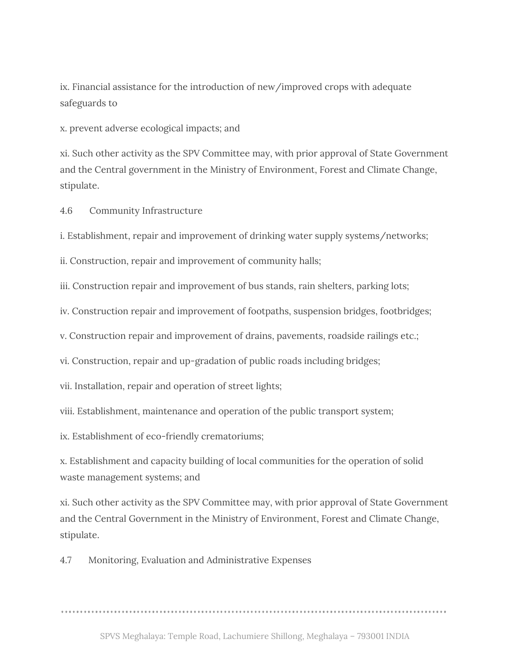ix. Financial assistance for the introduction of new/improved crops with adequate safeguards to

x. prevent adverse ecological impacts; and

xi. Such other activity as the SPV Committee may, with prior approval of State Government and the Central government in the Ministry of Environment, Forest and Climate Change, stipulate.

4.6 Community Infrastructure

i. Establishment, repair and improvement of drinking water supply systems/networks;

ii. Construction, repair and improvement of community halls;

iii. Construction repair and improvement of bus stands, rain shelters, parking lots;

iv. Construction repair and improvement of footpaths, suspension bridges, footbridges;

v. Construction repair and improvement of drains, pavements, roadside railings etc.;

vi. Construction, repair and up-gradation of public roads including bridges;

vii. Installation, repair and operation of street lights;

viii. Establishment, maintenance and operation of the public transport system;

ix. Establishment of eco-friendly crematoriums;

x. Establishment and capacity building of local communities for the operation of solid waste management systems; and

xi. Such other activity as the SPV Committee may, with prior approval of State Government and the Central Government in the Ministry of Environment, Forest and Climate Change, stipulate.

4.7 Monitoring, Evaluation and Administrative Expenses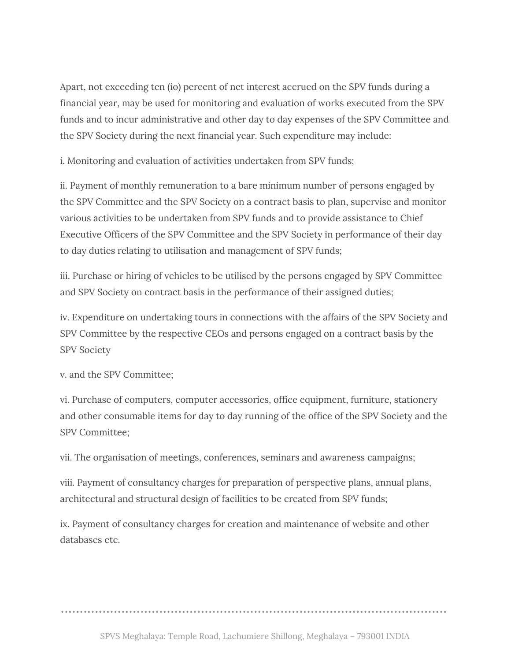Apart, not exceeding ten (io) percent of net interest accrued on the SPV funds during a financial year, may be used for monitoring and evaluation of works executed from the SPV funds and to incur administrative and other day to day expenses of the SPV Committee and the SPV Society during the next financial year. Such expenditure may include:

i. Monitoring and evaluation of activities undertaken from SPV funds;

ii. Payment of monthly remuneration to a bare minimum number of persons engaged by the SPV Committee and the SPV Society on a contract basis to plan, supervise and monitor various activities to be undertaken from SPV funds and to provide assistance to Chief Executive Officers of the SPV Committee and the SPV Society in performance of their day to day duties relating to utilisation and management of SPV funds;

iii. Purchase or hiring of vehicles to be utilised by the persons engaged by SPV Committee and SPV Society on contract basis in the performance of their assigned duties;

iv. Expenditure on undertaking tours in connections with the affairs of the SPV Society and SPV Committee by the respective CEOs and persons engaged on a contract basis by the SPV Society

v. and the SPV Committee;

vi. Purchase of computers, computer accessories, office equipment, furniture, stationery and other consumable items for day to day running of the office of the SPV Society and the SPV Committee;

vii. The organisation of meetings, conferences, seminars and awareness campaigns;

viii. Payment of consultancy charges for preparation of perspective plans, annual plans, architectural and structural design of facilities to be created from SPV funds;

ix. Payment of consultancy charges for creation and maintenance of website and other databases etc.